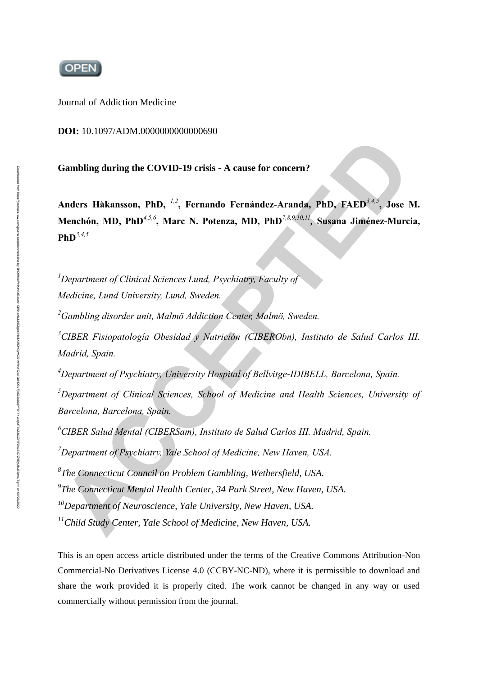

Journal of Addiction Medicine

#### **DOI:** 10.1097/ADM.0000000000000690

**Gambling during the COVID-19 crisis - A cause for concern?**

**Anders Håkansson, PhD,** *1,2***, Fernando Fernández-Aranda, PhD, FAED***3,4,5***, Jose M. Menchón, MD, PhD***4,5,6***, Marc N. Potenza, MD, PhD***7,8,9,10,11 ,* **Susana Jiménez-Murcia, PhD***3,4,5*

*<sup>1</sup>Department of Clinical Sciences Lund, Psychiatry, Faculty of Medicine, Lund University, Lund, Sweden.*

*<sup>2</sup>Gambling disorder unit, Malmö Addiction Center, Malmö, Sweden.*

*<sup>3</sup>CIBER Fisiopatología Obesidad y Nutrición (CIBERObn), Instituto de Salud Carlos III. Madrid, Spain.*

*<sup>4</sup>Department of Psychiatry, University Hospital of Bellvitge-IDIBELL, Barcelona, Spain.*

*<sup>5</sup>Department of Clinical Sciences, School of Medicine and Health Sciences, University of Barcelona, Barcelona, Spain.*

*<sup>6</sup>CIBER Salud Mental (CIBERSam), Instituto de Salud Carlos III. Madrid, Spain.*

*<sup>7</sup>Department of Psychiatry, Yale School of Medicine, New Haven, USA.* 

*8 The Connecticut Council on Problem Gambling, Wethersfield, USA.* 

*9 The Connecticut Mental Health Center, 34 Park Street, New Haven, USA.* 

*<sup>10</sup>Department of Neuroscience, Yale University, New Haven, USA.* 

*<sup>11</sup>Child Study Center, Yale School of Medicine, New Haven, USA.* 

This is an open access article distributed under the terms of the Creative Commons Attribution-Non Commercial-No Derivatives License 4.0 (CCBY-NC-ND), where it is permissible to download and share the work provided it is properly cited. The work cannot be changed in any way or used commercially without permission from the journal.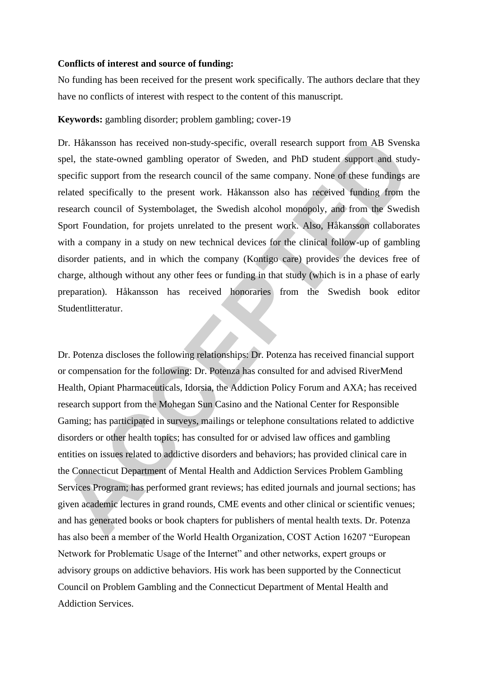#### **Conflicts of interest and source of funding:**

No funding has been received for the present work specifically. The authors declare that they have no conflicts of interest with respect to the content of this manuscript.

### **Keywords:** gambling disorder; problem gambling; cover-19

Dr. Håkansson has received non-study-specific, overall research support from AB Svenska spel, the state-owned gambling operator of Sweden, and PhD student support and studyspecific support from the research council of the same company. None of these fundings are related specifically to the present work. Håkansson also has received funding from the research council of Systembolaget, the Swedish alcohol monopoly, and from the Swedish Sport Foundation, for projets unrelated to the present work. Also, Håkansson collaborates with a company in a study on new technical devices for the clinical follow-up of gambling disorder patients, and in which the company (Kontigo care) provides the devices free of charge, although without any other fees or funding in that study (which is in a phase of early preparation). Håkansson has received honoraries from the Swedish book editor Studentlitteratur.

Dr. Potenza discloses the following relationships: Dr. Potenza has received financial support or compensation for the following: Dr. Potenza has consulted for and advised RiverMend Health, Opiant Pharmaceuticals, Idorsia, the Addiction Policy Forum and AXA; has received research support from the Mohegan Sun Casino and the National Center for Responsible Gaming; has participated in surveys, mailings or telephone consultations related to addictive disorders or other health topics; has consulted for or advised law offices and gambling entities on issues related to addictive disorders and behaviors; has provided clinical care in the Connecticut Department of Mental Health and Addiction Services Problem Gambling Services Program; has performed grant reviews; has edited journals and journal sections; has given academic lectures in grand rounds, CME events and other clinical or scientific venues; and has generated books or book chapters for publishers of mental health texts. Dr. Potenza has also been a member of the World Health Organization, COST Action 16207 "European Network for Problematic Usage of the Internet" and other networks, expert groups or advisory groups on addictive behaviors. His work has been supported by the Connecticut Council on Problem Gambling and the Connecticut Department of Mental Health and Addiction Services.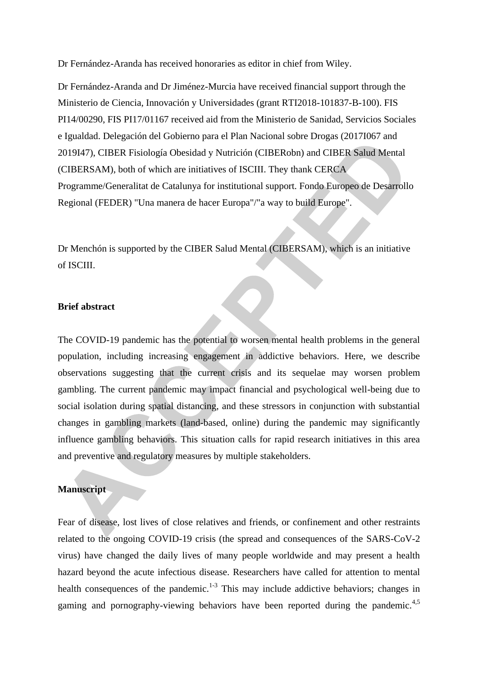Dr Fernández-Aranda has received honoraries as editor in chief from Wiley.

Dr Fernández-Aranda and Dr Jiménez-Murcia have received financial support through the Ministerio de Ciencia, Innovación y Universidades (grant RTI2018-101837-B-100). FIS PI14/00290, FIS PI17/01167 received aid from the Ministerio de Sanidad, Servicios Sociales e Igualdad. Delegación del Gobierno para el Plan Nacional sobre Drogas (2017I067 and 2019I47), CIBER Fisiología Obesidad y Nutrición (CIBERobn) and CIBER Salud Mental (CIBERSAM), both of which are initiatives of ISCIII. They thank CERCA Programme/Generalitat de Catalunya for institutional support. Fondo Europeo de Desarrollo Regional (FEDER) "Una manera de hacer Europa"/"a way to build Europe".

Dr Menchón is supported by the CIBER Salud Mental (CIBERSAM), which is an initiative of ISCIII.

### **Brief abstract**

The COVID-19 pandemic has the potential to worsen mental health problems in the general population, including increasing engagement in addictive behaviors. Here, we describe observations suggesting that the current crisis and its sequelae may worsen problem gambling. The current pandemic may impact financial and psychological well-being due to social isolation during spatial distancing, and these stressors in conjunction with substantial changes in gambling markets (land-based, online) during the pandemic may significantly influence gambling behaviors. This situation calls for rapid research initiatives in this area and preventive and regulatory measures by multiple stakeholders.

## **Manuscript**

Fear of disease, lost lives of close relatives and friends, or confinement and other restraints related to the ongoing COVID-19 crisis (the spread and consequences of the SARS-CoV-2 virus) have changed the daily lives of many people worldwide and may present a health hazard beyond the acute infectious disease. Researchers have called for attention to mental health consequences of the pandemic.<sup>1-3</sup> This may include addictive behaviors; changes in gaming and pornography-viewing behaviors have been reported during the pandemic.<sup>4,5</sup>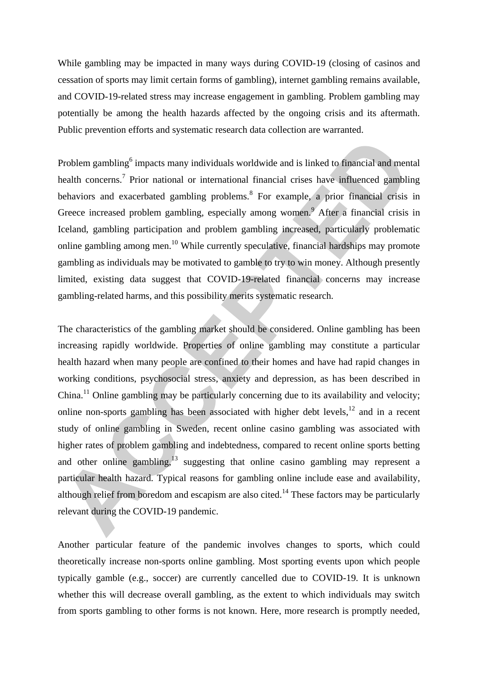While gambling may be impacted in many ways during COVID-19 (closing of casinos and cessation of sports may limit certain forms of gambling), internet gambling remains available, and COVID-19-related stress may increase engagement in gambling. Problem gambling may potentially be among the health hazards affected by the ongoing crisis and its aftermath. Public prevention efforts and systematic research data collection are warranted.

Problem gambling<sup>6</sup> impacts many individuals worldwide and is linked to financial and mental health concerns.<sup>7</sup> Prior national or international financial crises have influenced gambling behaviors and exacerbated gambling problems.<sup>8</sup> For example, a prior financial crisis in Greece increased problem gambling, especially among women.<sup>9</sup> After a financial crisis in Iceland, gambling participation and problem gambling increased, particularly problematic online gambling among men.<sup>10</sup> While currently speculative, financial hardships may promote gambling as individuals may be motivated to gamble to try to win money. Although presently limited, existing data suggest that COVID-19-related financial concerns may increase gambling-related harms, and this possibility merits systematic research.

The characteristics of the gambling market should be considered. Online gambling has been increasing rapidly worldwide. Properties of online gambling may constitute a particular health hazard when many people are confined to their homes and have had rapid changes in working conditions, psychosocial stress, anxiety and depression, as has been described in China.<sup>11</sup> Online gambling may be particularly concerning due to its availability and velocity; online non-sports gambling has been associated with higher debt levels, $12$  and in a recent study of online gambling in Sweden, recent online casino gambling was associated with higher rates of problem gambling and indebtedness, compared to recent online sports betting and other online gambling, $13$  suggesting that online casino gambling may represent a particular health hazard. Typical reasons for gambling online include ease and availability, although relief from boredom and escapism are also cited.<sup>14</sup> These factors may be particularly relevant during the COVID-19 pandemic.

Another particular feature of the pandemic involves changes to sports, which could theoretically increase non-sports online gambling. Most sporting events upon which people typically gamble (e.g., soccer) are currently cancelled due to COVID-19. It is unknown whether this will decrease overall gambling, as the extent to which individuals may switch from sports gambling to other forms is not known. Here, more research is promptly needed,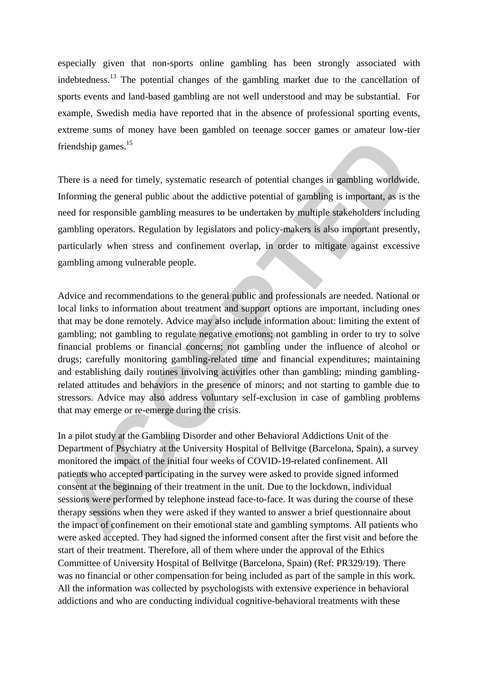especially given that non-sports online gambling has been strongly associated with indebtedness.<sup>13</sup> The potential changes of the gambling market due to the cancellation of sports events and land-based gambling are not well understood and may be substantial. For example, Swedish media have reported that in the absence of professional sporting events, extreme sums of money have been gambled on teenage soccer games or amateur low-tier friendship games.<sup>15</sup>

There is a need for timely, systematic research of potential changes in gambling worldwide. Informing the general public about the addictive potential of gambling is important, as is the need for responsible gambling measures to be undertaken by multiple stakeholders including gambling operators. Regulation by legislators and policy-makers is also important presently, particularly when stress and confinement overlap, in order to mitigate against excessive gambling among vulnerable people.

Advice and recommendations to the general public and professionals are needed. National or local links to information about treatment and support options are important, including ones that may be done remotely. Advice may also include information about: limiting the extent of gambling; not gambling to regulate negative emotions; not gambling in order to try to solve financial problems or financial concerns; not gambling under the influence of alcohol or drugs; carefully monitoring gambling-related time and financial expenditures; maintaining and establishing daily routines involving activities other than gambling; minding gamblingrelated attitudes and behaviors in the presence of minors; and not starting to gamble due to stressors. Advice may also address voluntary self-exclusion in case of gambling problems that may emerge or re-emerge during the crisis.

In a pilot study at the Gambling Disorder and other Behavioral Addictions Unit of the Department of Psychiatry at the University Hospital of Bellvitge (Barcelona, Spain), a survey monitored the impact of the initial four weeks of COVID-19-related confinement. All patients who accepted participating in the survey were asked to provide signed informed consent at the beginning of their treatment in the unit. Due to the lockdown, individual sessions were performed by telephone instead face-to-face. It was during the course of these therapy sessions when they were asked if they wanted to answer a brief questionnaire about the impact of confinement on their emotional state and gambling symptoms. All patients who were asked accepted. They had signed the informed consent after the first visit and before the start of their treatment. Therefore, all of them where under the approval of the Ethics Committee of University Hospital of Bellvitge (Barcelona, Spain) (Ref: PR329/19). There was no financial or other compensation for being included as part of the sample in this work. All the information was collected by psychologists with extensive experience in behavioral addictions and who are conducting individual cognitive-behavioral treatments with these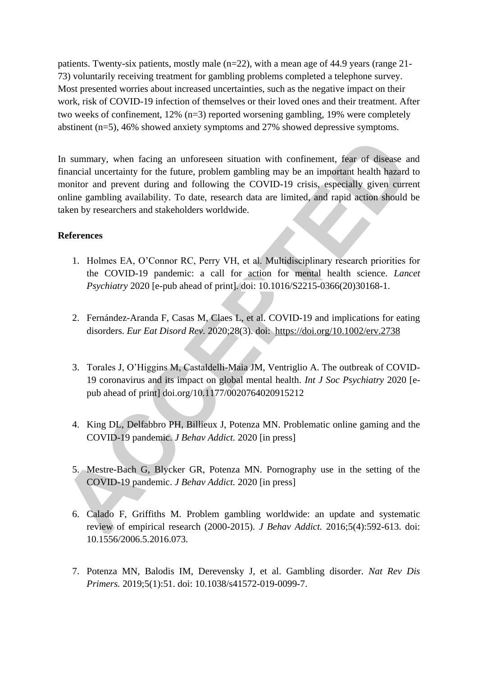patients. Twenty-six patients, mostly male (n=22), with a mean age of 44.9 years (range 21- 73) voluntarily receiving treatment for gambling problems completed a telephone survey. Most presented worries about increased uncertainties, such as the negative impact on their work, risk of COVID-19 infection of themselves or their loved ones and their treatment. After two weeks of confinement, 12% (n=3) reported worsening gambling, 19% were completely abstinent (n=5), 46% showed anxiety symptoms and 27% showed depressive symptoms.

In summary, when facing an unforeseen situation with confinement, fear of disease and financial uncertainty for the future, problem gambling may be an important health hazard to monitor and prevent during and following the COVID-19 crisis, especially given current online gambling availability. To date, research data are limited, and rapid action should be taken by researchers and stakeholders worldwide.

# **References**

- 1. Holmes EA, O'Connor RC, Perry VH, et al. Multidisciplinary research priorities for the COVID-19 pandemic: a call for action for mental health science. *Lancet Psychiatry* 2020 [e-pub ahead of print]. doi: 10.1016/S2215-0366(20)30168-1.
- 2. Fernández-Aranda F, Casas M, Claes L, et al. COVID-19 and implications for eating disorders. *Eur Eat Disord Rev.* 2020;28(3). doi: <https://doi.org/10.1002/erv.2738>
- 3. Torales J, O'Higgins M, Castaldelli-Maia JM, Ventriglio A. The outbreak of COVID-19 coronavirus and its impact on global mental health. *Int J Soc Psychiatry* 2020 [epub ahead of print] doi.org/10.1177/0020764020915212
- 4. King DL, Delfabbro PH, Billieux J, Potenza MN. Problematic online gaming and the COVID-19 pandemic. *J Behav Addict.* 2020 [in press]
- 5. Mestre-Bach G, Blycker GR, Potenza MN. Pornography use in the setting of the COVID-19 pandemic. *J Behav Addict.* 2020 [in press]
- 6. Calado F, Griffiths M. Problem gambling worldwide: an update and systematic review of empirical research (2000-2015). *J Behav Addict.* 2016;5(4):592-613. doi: 10.1556/2006.5.2016.073.
- 7. Potenza MN, Balodis IM, Derevensky J, et al. Gambling disorder. *Nat Rev Dis Primers.* 2019;5(1):51. doi: 10.1038/s41572-019-0099-7.